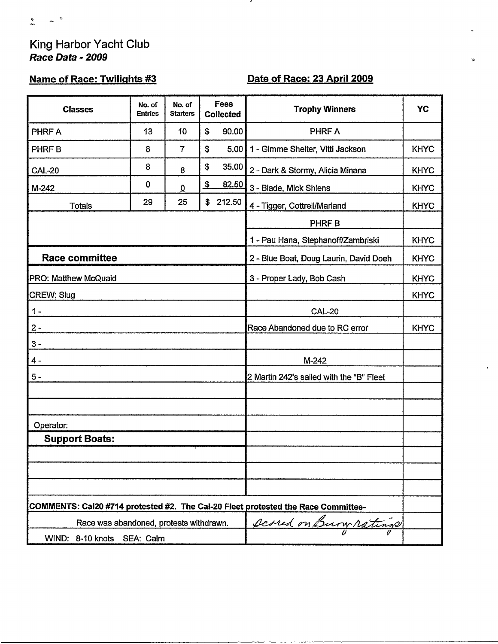# King Harbor Yacht Club Race Data - 2009

## **Name of Race: Twilights #3**

## Date of Race: 23 April 2009

 $\mathbf{t}$ 

,

| <b>Classes</b>                                                                    | No. of<br><b>Entries</b> | No. of<br><b>Starters</b> | Fees<br><b>Collected</b>           | <b>Trophy Winners</b>                    | YC          |  |
|-----------------------------------------------------------------------------------|--------------------------|---------------------------|------------------------------------|------------------------------------------|-------------|--|
| PHRF A                                                                            | 13                       | 10                        | 90.00<br>\$                        | PHRF A                                   |             |  |
| PHRF B                                                                            | 8                        | $\overline{7}$            | \$<br>5.00                         | 1 - Gimme Shelter, Vitti Jackson         | <b>KHYC</b> |  |
| <b>CAL-20</b>                                                                     | 8                        | 8                         | \$<br>35.00                        | 2 - Dark & Stormy, Alicia Minana         | <b>KHYC</b> |  |
| M-242                                                                             | $\mathbf 0$              | $\overline{0}$            | $\overline{\mathfrak{s}}$<br>82.50 | 3 - Blade, Mick Shlens                   | <b>KHYC</b> |  |
| <b>Totals</b>                                                                     | 29                       | 25                        | 212.50<br>\$                       | 4 - Tigger, Cottrell/Marland             | <b>KHYC</b> |  |
|                                                                                   |                          |                           |                                    | PHRF B                                   |             |  |
|                                                                                   |                          |                           |                                    | 1 - Pau Hana, Stephanoff/Zambriski       | <b>KHYC</b> |  |
| <b>Race committee</b>                                                             |                          |                           |                                    | 2 - Blue Boat, Doug Laurin, David Doeh   | <b>KHYC</b> |  |
| <b>PRO: Matthew McQuaid</b>                                                       |                          |                           |                                    | 3 - Proper Lady, Bob Cash                | <b>KHYC</b> |  |
| <b>CREW: Slug</b>                                                                 |                          |                           |                                    |                                          | <b>KHYC</b> |  |
| $1 -$                                                                             |                          |                           |                                    | <b>CAL-20</b>                            |             |  |
| $2 -$                                                                             |                          |                           |                                    | Race Abandoned due to RC error           | <b>KHYC</b> |  |
| $3 -$                                                                             |                          |                           |                                    |                                          |             |  |
| $4 -$                                                                             |                          |                           |                                    | M-242                                    |             |  |
| $5 -$                                                                             |                          |                           |                                    | 2 Martin 242's sailed with the "B" Fleet |             |  |
|                                                                                   |                          |                           |                                    |                                          |             |  |
|                                                                                   |                          |                           |                                    |                                          |             |  |
| Operator:                                                                         |                          |                           |                                    |                                          |             |  |
| <b>Support Boats:</b>                                                             |                          |                           |                                    |                                          |             |  |
|                                                                                   |                          |                           |                                    |                                          |             |  |
|                                                                                   |                          |                           |                                    |                                          |             |  |
|                                                                                   |                          |                           |                                    |                                          |             |  |
| COMMENTS: Cal20 #714 protested #2. The Cal-20 Fleet protested the Race Committee- |                          |                           |                                    |                                          |             |  |
| scared on Bury ratings<br>Race was abandoned, protests withdrawn.                 |                          |                           |                                    |                                          |             |  |
| WIND: 8-10 knots SEA: Calm                                                        |                          |                           |                                    |                                          |             |  |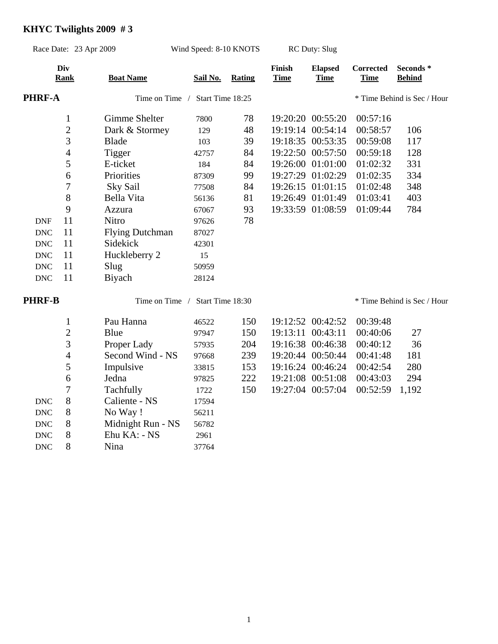### **KHYC Twilights 2009 # 3**

 DNC 8 Ehu KA: - NS 2961 DNC 8 Nina 37764

| Race Date: 23 Apr 2009 |                                 | Wind Speed: 8-10 KNOTS |                                 | <b>RC Duty: Slug</b> |                       |                               |                                 |                             |  |
|------------------------|---------------------------------|------------------------|---------------------------------|----------------------|-----------------------|-------------------------------|---------------------------------|-----------------------------|--|
|                        | Div<br><b>Rank</b>              | <b>Boat Name</b>       | Sail No.                        | <b>Rating</b>        | Finish<br><b>Time</b> | <b>Elapsed</b><br><b>Time</b> | <b>Corrected</b><br><b>Time</b> | Seconds*<br><b>Behind</b>   |  |
|                        | <b>PHRF-A</b><br>Time on Time / |                        |                                 | Start Time 18:25     |                       |                               |                                 | * Time Behind is Sec / Hour |  |
|                        | $\mathbf{1}$                    | Gimme Shelter          | 7800                            | 78                   |                       | 19:20:20 00:55:20             | 00:57:16                        |                             |  |
|                        | $\sqrt{2}$                      | Dark & Stormey         | 129                             | 48                   |                       | 19:19:14 00:54:14             | 00:58:57                        | 106                         |  |
|                        | 3                               | <b>Blade</b>           | 103                             | 39                   |                       | 19:18:35 00:53:35             | 00:59:08                        | 117                         |  |
|                        | $\overline{4}$                  | Tigger                 | 42757                           | 84                   |                       | 19:22:50 00:57:50             | 00:59:18                        | 128                         |  |
|                        | 5                               | E-ticket               | 184                             | 84                   |                       | 19:26:00 01:01:00             | 01:02:32                        | 331                         |  |
|                        | 6                               | Priorities             | 87309                           | 99                   |                       | 19:27:29 01:02:29             | 01:02:35                        | 334                         |  |
|                        | $\overline{7}$                  | Sky Sail               | 77508                           | 84                   |                       | 19:26:15 01:01:15             | 01:02:48                        | 348                         |  |
|                        | 8                               | Bella Vita             | 56136                           | 81                   |                       | 19:26:49 01:01:49             | 01:03:41                        | 403                         |  |
|                        | 9                               | Azzura                 | 67067                           | 93                   |                       | 19:33:59 01:08:59             | 01:09:44                        | 784                         |  |
| <b>DNF</b>             | 11                              | Nitro                  | 97626                           | 78                   |                       |                               |                                 |                             |  |
| <b>DNC</b>             | 11                              | <b>Flying Dutchman</b> | 87027                           |                      |                       |                               |                                 |                             |  |
| <b>DNC</b>             | 11                              | Sidekick               | 42301                           |                      |                       |                               |                                 |                             |  |
| <b>DNC</b>             | 11                              | Huckleberry 2          | 15                              |                      |                       |                               |                                 |                             |  |
| <b>DNC</b>             | 11                              | Slug                   | 50959                           |                      |                       |                               |                                 |                             |  |
| <b>DNC</b>             | 11                              | Biyach                 | 28124                           |                      |                       |                               |                                 |                             |  |
| <b>PHRF-B</b>          |                                 |                        | Time on Time / Start Time 18:30 |                      |                       | * Time Behind is Sec / Hour   |                                 |                             |  |
|                        | $\mathbf{1}$                    | Pau Hanna              | 46522                           | 150                  |                       | 19:12:52 00:42:52             | 00:39:48                        |                             |  |
|                        | $\overline{c}$                  | Blue                   | 97947                           | 150                  | 19:13:11 00:43:11     |                               | 00:40:06                        | 27                          |  |
|                        | 3                               | Proper Lady            | 57935                           | 204                  |                       | 19:16:38 00:46:38             | 00:40:12                        | 36                          |  |
|                        | $\overline{4}$                  | Second Wind - NS       | 97668                           | 239                  |                       | 19:20:44 00:50:44             | 00:41:48                        | 181                         |  |
|                        | 5                               | Impulsive              | 33815                           | 153                  |                       | 19:16:24 00:46:24             | 00:42:54                        | 280                         |  |
|                        | 6                               | Jedna                  | 97825                           | 222                  |                       | 19:21:08 00:51:08             | 00:43:03                        | 294                         |  |
|                        | $\overline{7}$                  | Tachfully              | 1722                            | 150                  |                       | 19:27:04 00:57:04             | 00:52:59                        | 1,192                       |  |
| <b>DNC</b>             | 8                               | Caliente - NS          | 17594                           |                      |                       |                               |                                 |                             |  |
| <b>DNC</b>             | 8                               | No Way !               | 56211                           |                      |                       |                               |                                 |                             |  |
| <b>DNC</b>             | 8                               | Midnight Run - NS      | 56782                           |                      |                       |                               |                                 |                             |  |